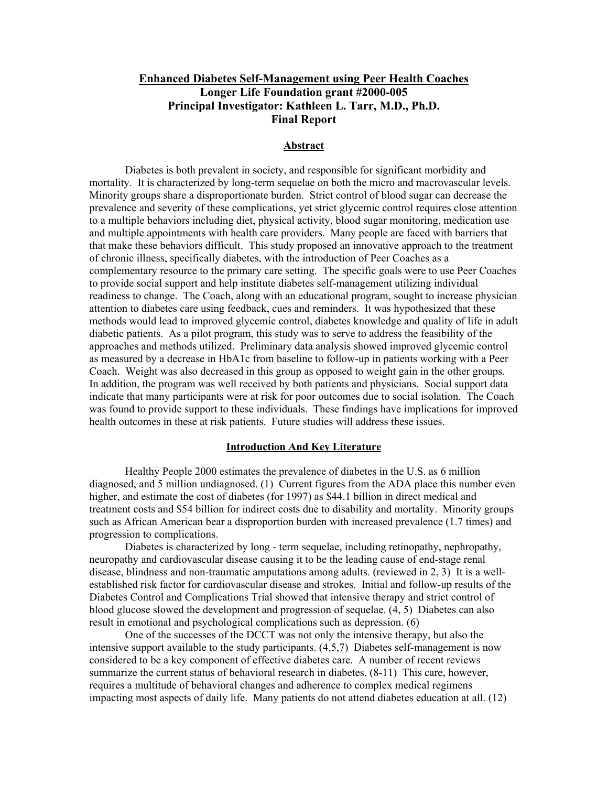# **Enhanced Diabetes Self-Management using Peer Health Coaches Longer Life Foundation grant #2000-005 Principal Investigator: Kathleen L. Tarr, M.D., Ph.D. Final Report**

### **Abstract**

 Diabetes is both prevalent in society, and responsible for significant morbidity and mortality. It is characterized by long-term sequelae on both the micro and macrovascular levels. Minority groups share a disproportionate burden. Strict control of blood sugar can decrease the prevalence and severity of these complications, yet strict glycemic control requires close attention to a multiple behaviors including diet, physical activity, blood sugar monitoring, medication use and multiple appointments with health care providers. Many people are faced with barriers that that make these behaviors difficult. This study proposed an innovative approach to the treatment of chronic illness, specifically diabetes, with the introduction of Peer Coaches as a complementary resource to the primary care setting. The specific goals were to use Peer Coaches to provide social support and help institute diabetes self-management utilizing individual readiness to change. The Coach, along with an educational program, sought to increase physician attention to diabetes care using feedback, cues and reminders. It was hypothesized that these methods would lead to improved glycemic control, diabetes knowledge and quality of life in adult diabetic patients. As a pilot program, this study was to serve to address the feasibility of the approaches and methods utilized. Preliminary data analysis showed improved glycemic control as measured by a decrease in HbA1c from baseline to follow-up in patients working with a Peer Coach. Weight was also decreased in this group as opposed to weight gain in the other groups. In addition, the program was well received by both patients and physicians. Social support data indicate that many participants were at risk for poor outcomes due to social isolation. The Coach was found to provide support to these individuals. These findings have implications for improved health outcomes in these at risk patients. Future studies will address these issues.

### **Introduction And Key Literature**

Healthy People 2000 estimates the prevalence of diabetes in the U.S. as 6 million diagnosed, and 5 million undiagnosed. (1) Current figures from the ADA place this number even higher, and estimate the cost of diabetes (for 1997) as \$44.1 billion in direct medical and treatment costs and \$54 billion for indirect costs due to disability and mortality. Minority groups such as African American bear a disproportion burden with increased prevalence (1.7 times) and progression to complications.

Diabetes is characterized by long - term sequelae, including retinopathy, nephropathy, neuropathy and cardiovascular disease causing it to be the leading cause of end-stage renal disease, blindness and non-traumatic amputations among adults. (reviewed in 2, 3) It is a wellestablished risk factor for cardiovascular disease and strokes. Initial and follow-up results of the Diabetes Control and Complications Trial showed that intensive therapy and strict control of blood glucose slowed the development and progression of sequelae. (4, 5) Diabetes can also result in emotional and psychological complications such as depression. (6)

One of the successes of the DCCT was not only the intensive therapy, but also the intensive support available to the study participants. (4,5,7) Diabetes self-management is now considered to be a key component of effective diabetes care. A number of recent reviews summarize the current status of behavioral research in diabetes. (8-11) This care, however, requires a multitude of behavioral changes and adherence to complex medical regimens impacting most aspects of daily life. Many patients do not attend diabetes education at all. (12)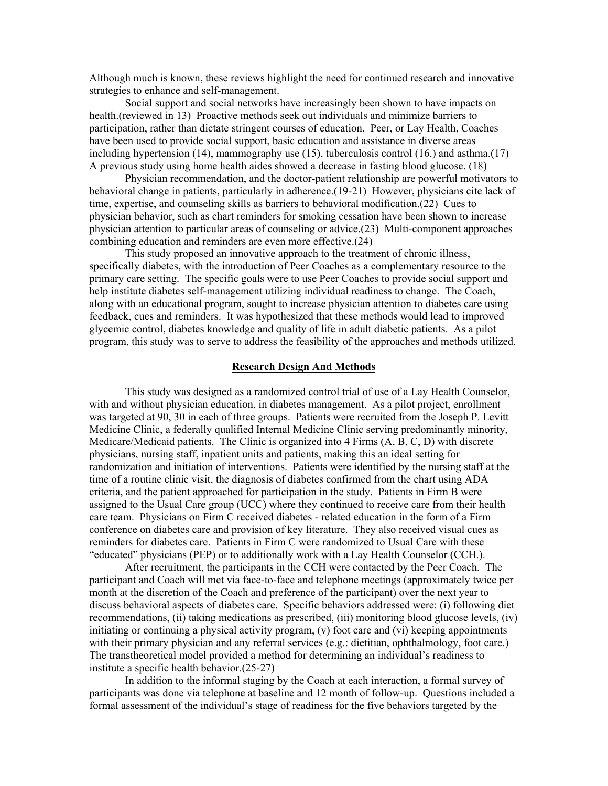Although much is known, these reviews highlight the need for continued research and innovative strategies to enhance and self-management.

Social support and social networks have increasingly been shown to have impacts on health.(reviewed in 13) Proactive methods seek out individuals and minimize barriers to participation, rather than dictate stringent courses of education. Peer, or Lay Health, Coaches have been used to provide social support, basic education and assistance in diverse areas including hypertension (14), mammography use (15), tuberculosis control (16.) and asthma.(17) A previous study using home health aides showed a decrease in fasting blood glucose. (18)

Physician recommendation, and the doctor-patient relationship are powerful motivators to behavioral change in patients, particularly in adherence.(19-21) However, physicians cite lack of time, expertise, and counseling skills as barriers to behavioral modification.(22) Cues to physician behavior, such as chart reminders for smoking cessation have been shown to increase physician attention to particular areas of counseling or advice.(23) Multi-component approaches combining education and reminders are even more effective.(24)

This study proposed an innovative approach to the treatment of chronic illness, specifically diabetes, with the introduction of Peer Coaches as a complementary resource to the primary care setting. The specific goals were to use Peer Coaches to provide social support and help institute diabetes self-management utilizing individual readiness to change. The Coach, along with an educational program, sought to increase physician attention to diabetes care using feedback, cues and reminders. It was hypothesized that these methods would lead to improved glycemic control, diabetes knowledge and quality of life in adult diabetic patients. As a pilot program, this study was to serve to address the feasibility of the approaches and methods utilized.

#### **Research Design And Methods**

This study was designed as a randomized control trial of use of a Lay Health Counselor, with and without physician education, in diabetes management. As a pilot project, enrollment was targeted at 90, 30 in each of three groups. Patients were recruited from the Joseph P. Levitt Medicine Clinic, a federally qualified Internal Medicine Clinic serving predominantly minority, Medicare/Medicaid patients. The Clinic is organized into 4 Firms (A, B, C, D) with discrete physicians, nursing staff, inpatient units and patients, making this an ideal setting for randomization and initiation of interventions. Patients were identified by the nursing staff at the time of a routine clinic visit, the diagnosis of diabetes confirmed from the chart using ADA criteria, and the patient approached for participation in the study. Patients in Firm B were assigned to the Usual Care group (UCC) where they continued to receive care from their health care team. Physicians on Firm C received diabetes - related education in the form of a Firm conference on diabetes care and provision of key literature. They also received visual cues as reminders for diabetes care. Patients in Firm C were randomized to Usual Care with these "educated" physicians (PEP) or to additionally work with a Lay Health Counselor (CCH.).

After recruitment, the participants in the CCH were contacted by the Peer Coach. The participant and Coach will met via face-to-face and telephone meetings (approximately twice per month at the discretion of the Coach and preference of the participant) over the next year to discuss behavioral aspects of diabetes care. Specific behaviors addressed were: (i) following diet recommendations, (ii) taking medications as prescribed, (iii) monitoring blood glucose levels, (iv) initiating or continuing a physical activity program, (v) foot care and (vi) keeping appointments with their primary physician and any referral services (e.g.: dietitian, ophthalmology, foot care.) The transtheoretical model provided a method for determining an individual's readiness to institute a specific health behavior.(25-27)

In addition to the informal staging by the Coach at each interaction, a formal survey of participants was done via telephone at baseline and 12 month of follow-up. Questions included a formal assessment of the individual's stage of readiness for the five behaviors targeted by the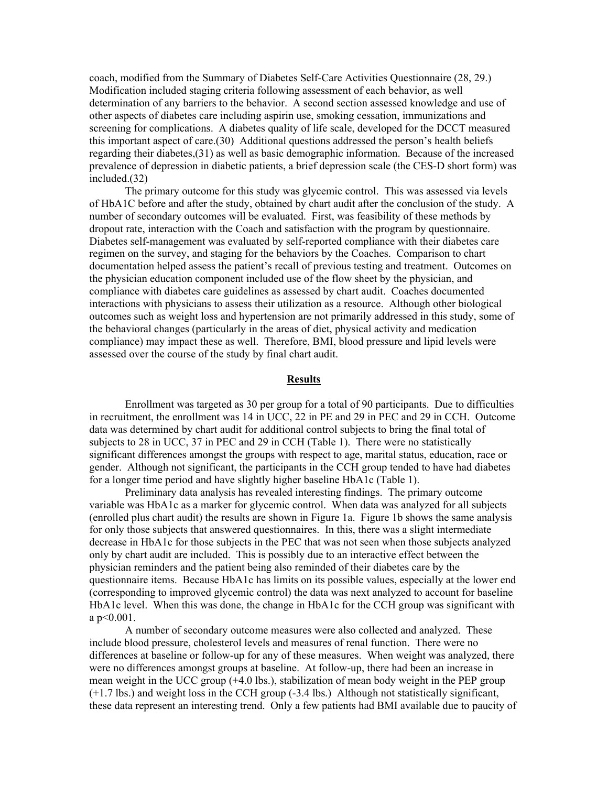coach, modified from the Summary of Diabetes Self-Care Activities Questionnaire (28, 29.) Modification included staging criteria following assessment of each behavior, as well determination of any barriers to the behavior. A second section assessed knowledge and use of other aspects of diabetes care including aspirin use, smoking cessation, immunizations and screening for complications. A diabetes quality of life scale, developed for the DCCT measured this important aspect of care.(30) Additional questions addressed the person's health beliefs regarding their diabetes,(31) as well as basic demographic information. Because of the increased prevalence of depression in diabetic patients, a brief depression scale (the CES-D short form) was included.(32)

The primary outcome for this study was glycemic control. This was assessed via levels of HbA1C before and after the study, obtained by chart audit after the conclusion of the study. A number of secondary outcomes will be evaluated. First, was feasibility of these methods by dropout rate, interaction with the Coach and satisfaction with the program by questionnaire. Diabetes self-management was evaluated by self-reported compliance with their diabetes care regimen on the survey, and staging for the behaviors by the Coaches. Comparison to chart documentation helped assess the patient's recall of previous testing and treatment. Outcomes on the physician education component included use of the flow sheet by the physician, and compliance with diabetes care guidelines as assessed by chart audit. Coaches documented interactions with physicians to assess their utilization as a resource. Although other biological outcomes such as weight loss and hypertension are not primarily addressed in this study, some of the behavioral changes (particularly in the areas of diet, physical activity and medication compliance) may impact these as well. Therefore, BMI, blood pressure and lipid levels were assessed over the course of the study by final chart audit.

### **Results**

 Enrollment was targeted as 30 per group for a total of 90 participants. Due to difficulties in recruitment, the enrollment was 14 in UCC, 22 in PE and 29 in PEC and 29 in CCH. Outcome data was determined by chart audit for additional control subjects to bring the final total of subjects to 28 in UCC, 37 in PEC and 29 in CCH (Table 1). There were no statistically significant differences amongst the groups with respect to age, marital status, education, race or gender. Although not significant, the participants in the CCH group tended to have had diabetes for a longer time period and have slightly higher baseline HbA1c (Table 1).

 Preliminary data analysis has revealed interesting findings. The primary outcome variable was HbA1c as a marker for glycemic control. When data was analyzed for all subjects (enrolled plus chart audit) the results are shown in Figure 1a. Figure 1b shows the same analysis for only those subjects that answered questionnaires. In this, there was a slight intermediate decrease in HbA1c for those subjects in the PEC that was not seen when those subjects analyzed only by chart audit are included. This is possibly due to an interactive effect between the physician reminders and the patient being also reminded of their diabetes care by the questionnaire items. Because HbA1c has limits on its possible values, especially at the lower end (corresponding to improved glycemic control) the data was next analyzed to account for baseline HbA1c level. When this was done, the change in HbA1c for the CCH group was significant with a p<0.001.

 A number of secondary outcome measures were also collected and analyzed. These include blood pressure, cholesterol levels and measures of renal function. There were no differences at baseline or follow-up for any of these measures. When weight was analyzed, there were no differences amongst groups at baseline. At follow-up, there had been an increase in mean weight in the UCC group (+4.0 lbs.), stabilization of mean body weight in the PEP group (+1.7 lbs.) and weight loss in the CCH group (-3.4 lbs.) Although not statistically significant, these data represent an interesting trend. Only a few patients had BMI available due to paucity of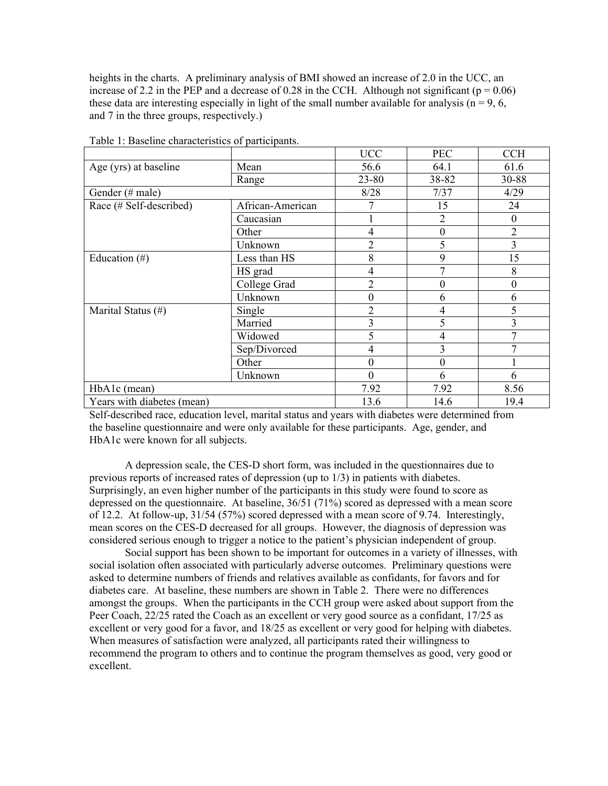heights in the charts. A preliminary analysis of BMI showed an increase of 2.0 in the UCC, an increase of 2.2 in the PEP and a decrease of 0.28 in the CCH. Although not significant ( $p = 0.06$ ) these data are interesting especially in light of the small number available for analysis ( $n = 9, 6$ , and 7 in the three groups, respectively.)

|                            |                  | <b>UCC</b>       | <b>PEC</b>       | <b>CCH</b>       |
|----------------------------|------------------|------------------|------------------|------------------|
| Age (yrs) at baseline      | Mean             | 56.6             | 64.1             | 61.6             |
|                            | Range            | 23-80            | 38-82            | 30-88            |
| Gender (# male)            |                  | 8/28             | 7/37             | 4/29             |
| Race (# Self-described)    | African-American |                  | 15               | 24               |
|                            | Caucasian        |                  | 2                | $\theta$         |
|                            | Other            | $\overline{4}$   | $\boldsymbol{0}$ | $\overline{2}$   |
|                            | Unknown          | $\overline{2}$   | 5                | $\overline{3}$   |
| Education $(\#)$           | Less than HS     | 8                | 9                | 15               |
|                            | HS grad          | 4                | $\overline{7}$   | 8                |
|                            | College Grad     | $\overline{2}$   | 0                | $\boldsymbol{0}$ |
|                            | Unknown          | $\boldsymbol{0}$ | 6                | 6                |
| Marital Status (#)         | Single           | $\overline{2}$   | 4                | 5                |
|                            | Married          | 3                | 5                | 3                |
|                            | Widowed          | 5                | 4                |                  |
|                            | Sep/Divorced     | $\overline{4}$   | 3                |                  |
|                            | Other            | $\boldsymbol{0}$ | $\overline{0}$   |                  |
|                            | Unknown          | $\overline{0}$   | 6                | 6                |
| HbA1c (mean)               |                  | 7.92             | 7.92             | 8.56             |
| Years with diabetes (mean) |                  | 13.6             | 14.6             | 19.4             |

Table 1: Baseline characteristics of participants.

Self-described race, education level, marital status and years with diabetes were determined from the baseline questionnaire and were only available for these participants. Age, gender, and HbA1c were known for all subjects.

 A depression scale, the CES-D short form, was included in the questionnaires due to previous reports of increased rates of depression (up to 1/3) in patients with diabetes. Surprisingly, an even higher number of the participants in this study were found to score as depressed on the questionnaire. At baseline, 36/51 (71%) scored as depressed with a mean score of 12.2. At follow-up, 31/54 (57%) scored depressed with a mean score of 9.74. Interestingly, mean scores on the CES-D decreased for all groups. However, the diagnosis of depression was considered serious enough to trigger a notice to the patient's physician independent of group.

 Social support has been shown to be important for outcomes in a variety of illnesses, with social isolation often associated with particularly adverse outcomes. Preliminary questions were asked to determine numbers of friends and relatives available as confidants, for favors and for diabetes care. At baseline, these numbers are shown in Table 2. There were no differences amongst the groups. When the participants in the CCH group were asked about support from the Peer Coach, 22/25 rated the Coach as an excellent or very good source as a confidant, 17/25 as excellent or very good for a favor, and 18/25 as excellent or very good for helping with diabetes. When measures of satisfaction were analyzed, all participants rated their willingness to recommend the program to others and to continue the program themselves as good, very good or excellent.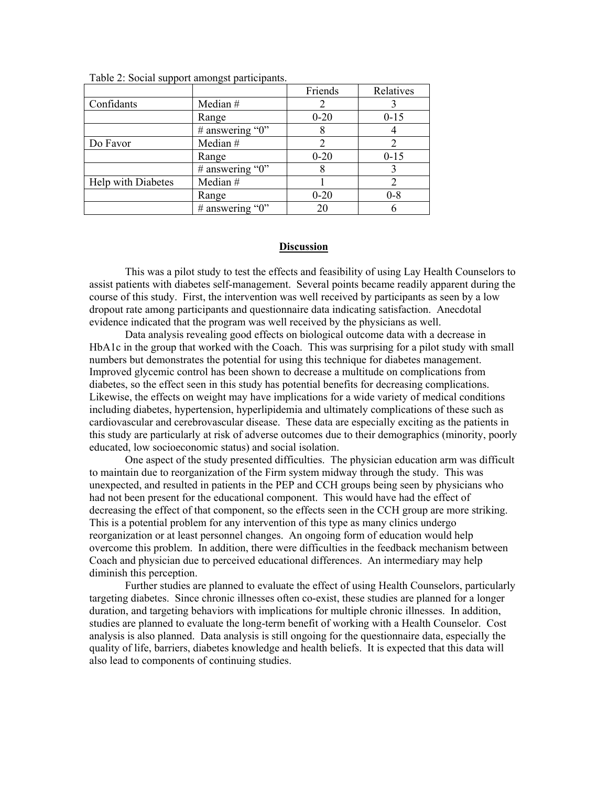|                           |                     | Friends  | Relatives |
|---------------------------|---------------------|----------|-----------|
| Confidants                | Median #            |          |           |
|                           | Range               | $0 - 20$ | $0 - 15$  |
|                           | # answering " $0$ " |          |           |
| Do Favor                  | Median #            |          |           |
|                           | Range               | $0 - 20$ | $0 - 15$  |
|                           | # answering " $0$ " |          |           |
| <b>Help</b> with Diabetes | Median #            |          |           |
|                           | Range               | $0 - 20$ | $0 - 8$   |
|                           | # answering " $0$ " | 20       |           |

Table 2: Social support amongst participants.

### **Discussion**

 This was a pilot study to test the effects and feasibility of using Lay Health Counselors to assist patients with diabetes self-management. Several points became readily apparent during the course of this study. First, the intervention was well received by participants as seen by a low dropout rate among participants and questionnaire data indicating satisfaction. Anecdotal evidence indicated that the program was well received by the physicians as well.

 Data analysis revealing good effects on biological outcome data with a decrease in HbA1c in the group that worked with the Coach. This was surprising for a pilot study with small numbers but demonstrates the potential for using this technique for diabetes management. Improved glycemic control has been shown to decrease a multitude on complications from diabetes, so the effect seen in this study has potential benefits for decreasing complications. Likewise, the effects on weight may have implications for a wide variety of medical conditions including diabetes, hypertension, hyperlipidemia and ultimately complications of these such as cardiovascular and cerebrovascular disease. These data are especially exciting as the patients in this study are particularly at risk of adverse outcomes due to their demographics (minority, poorly educated, low socioeconomic status) and social isolation.

 One aspect of the study presented difficulties. The physician education arm was difficult to maintain due to reorganization of the Firm system midway through the study. This was unexpected, and resulted in patients in the PEP and CCH groups being seen by physicians who had not been present for the educational component. This would have had the effect of decreasing the effect of that component, so the effects seen in the CCH group are more striking. This is a potential problem for any intervention of this type as many clinics undergo reorganization or at least personnel changes. An ongoing form of education would help overcome this problem. In addition, there were difficulties in the feedback mechanism between Coach and physician due to perceived educational differences. An intermediary may help diminish this perception.

Further studies are planned to evaluate the effect of using Health Counselors, particularly targeting diabetes. Since chronic illnesses often co-exist, these studies are planned for a longer duration, and targeting behaviors with implications for multiple chronic illnesses. In addition, studies are planned to evaluate the long-term benefit of working with a Health Counselor. Cost analysis is also planned. Data analysis is still ongoing for the questionnaire data, especially the quality of life, barriers, diabetes knowledge and health beliefs. It is expected that this data will also lead to components of continuing studies.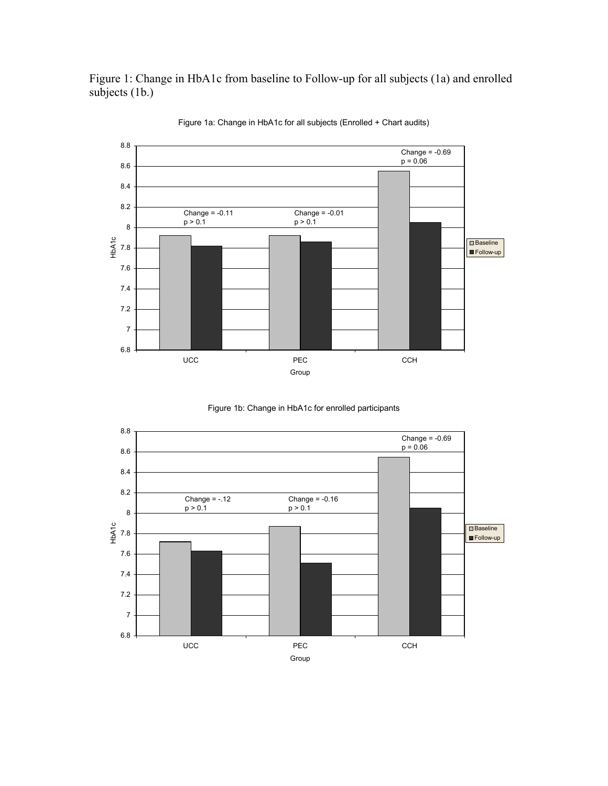Figure 1: Change in HbA1c from baseline to Follow-up for all subjects (1a) and enrolled subjects (1b.)



Figure 1a: Change in HbA1c for all subjects (Enrolled + Chart audits)



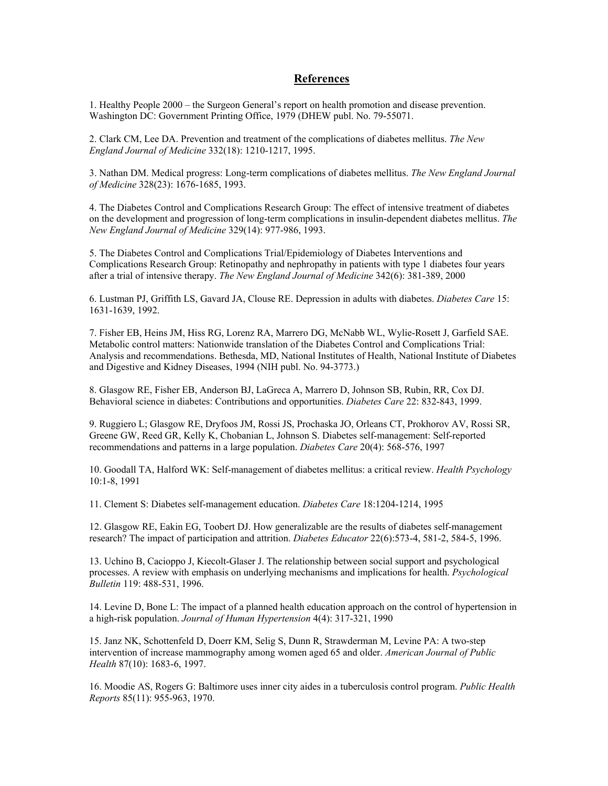## **References**

1. Healthy People 2000 – the Surgeon General's report on health promotion and disease prevention. Washington DC: Government Printing Office, 1979 (DHEW publ. No. 79-55071.

2. Clark CM, Lee DA. Prevention and treatment of the complications of diabetes mellitus. *The New England Journal of Medicine* 332(18): 1210-1217, 1995.

3. Nathan DM. Medical progress: Long-term complications of diabetes mellitus. *The New England Journal of Medicine* 328(23): 1676-1685, 1993.

4. The Diabetes Control and Complications Research Group: The effect of intensive treatment of diabetes on the development and progression of long-term complications in insulin-dependent diabetes mellitus. *The New England Journal of Medicine* 329(14): 977-986, 1993.

5. The Diabetes Control and Complications Trial/Epidemiology of Diabetes Interventions and Complications Research Group: Retinopathy and nephropathy in patients with type 1 diabetes four years after a trial of intensive therapy. *The New England Journal of Medicine* 342(6): 381-389, 2000

6. Lustman PJ, Griffith LS, Gavard JA, Clouse RE. Depression in adults with diabetes. *Diabetes Care* 15: 1631-1639, 1992.

7. Fisher EB, Heins JM, Hiss RG, Lorenz RA, Marrero DG, McNabb WL, Wylie-Rosett J, Garfield SAE. Metabolic control matters: Nationwide translation of the Diabetes Control and Complications Trial: Analysis and recommendations. Bethesda, MD, National Institutes of Health, National Institute of Diabetes and Digestive and Kidney Diseases, 1994 (NIH publ. No. 94-3773.)

8. Glasgow RE, Fisher EB, Anderson BJ, LaGreca A, Marrero D, Johnson SB, Rubin, RR, Cox DJ. Behavioral science in diabetes: Contributions and opportunities. *Diabetes Care* 22: 832-843, 1999.

9. Ruggiero L; Glasgow RE, Dryfoos JM, Rossi JS, Prochaska JO, Orleans CT, Prokhorov AV, Rossi SR, Greene GW, Reed GR, Kelly K, Chobanian L, Johnson S. Diabetes self-management: Self-reported recommendations and patterns in a large population. *Diabetes Care* 20(4): 568-576, 1997

10. Goodall TA, Halford WK: Self-management of diabetes mellitus: a critical review. *Health Psychology* 10:1-8, 1991

11. Clement S: Diabetes self-management education. *Diabetes Care* 18:1204-1214, 1995

12. Glasgow RE, Eakin EG, Toobert DJ. How generalizable are the results of diabetes self-management research? The impact of participation and attrition. *Diabetes Educator* 22(6):573-4, 581-2, 584-5, 1996.

13. Uchino B, Cacioppo J, Kiecolt-Glaser J. The relationship between social support and psychological processes. A review with emphasis on underlying mechanisms and implications for health. *Psychological Bulletin* 119: 488-531, 1996.

14. Levine D, Bone L: The impact of a planned health education approach on the control of hypertension in a high-risk population. *Journal of Human Hypertension* 4(4): 317-321, 1990

15. Janz NK, Schottenfeld D, Doerr KM, Selig S, Dunn R, Strawderman M, Levine PA: A two-step intervention of increase mammography among women aged 65 and older. *American Journal of Public Health* 87(10): 1683-6, 1997.

16. Moodie AS, Rogers G: Baltimore uses inner city aides in a tuberculosis control program. *Public Health Reports* 85(11): 955-963, 1970.